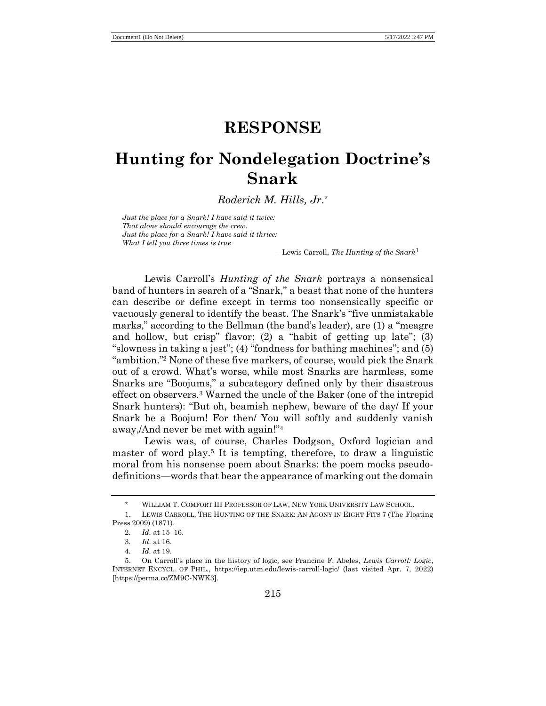# **RESPONSE**

# **Hunting for Nondelegation Doctrine's Snark**

*Roderick M. Hills, Jr.\**

*Just the place for a Snark! I have said it twice: That alone should encourage the crew. Just the place for a Snark! I have said it thrice: What I tell you three times is true*

<span id="page-0-0"></span>*—*Lewis Carroll, *The Hunting of the Snark*<sup>1</sup>

Lewis Carroll's *Hunting of the Snark* portrays a nonsensical band of hunters in search of a "Snark," a beast that none of the hunters can describe or define except in terms too nonsensically specific or vacuously general to identify the beast. The Snark's "five unmistakable marks," according to the Bellman (the band's leader), are (1) a "meagre and hollow, but crisp" flavor; (2) a "habit of getting up late"; (3) "slowness in taking a jest"; (4) "fondness for bathing machines"; and (5) "ambition."<sup>2</sup> None of these five markers, of course, would pick the Snark out of a crowd. What's worse, while most Snarks are harmless, some Snarks are "Boojums," a subcategory defined only by their disastrous effect on observers.<sup>3</sup> Warned the uncle of the Baker (one of the intrepid Snark hunters): "But oh, beamish nephew, beware of the day/ If your Snark be a Boojum! For then/ You will softly and suddenly vanish away,/And never be met with again!"<sup>4</sup>

Lewis was, of course, Charles Dodgson, Oxford logician and master of word play.<sup>5</sup> It is tempting, therefore, to draw a linguistic moral from his nonsense poem about Snarks: the poem mocks pseudodefinitions—words that bear the appearance of marking out the domain

WILLIAM T. COMFORT III PROFESSOR OF LAW, NEW YORK UNIVERSITY LAW SCHOOL.

<sup>1.</sup> LEWIS CARROLL, THE HUNTING OF THE SNARK: AN AGONY IN EIGHT FITS 7 (The Floating Press 2009) (1871).

<sup>2</sup>*. Id.* at 15–16.

<sup>3</sup>*. Id.* at 16.

<sup>4</sup>*. Id.* at 19.

<sup>5.</sup> On Carroll's place in the history of logic, see Francine F. Abeles, *Lewis Carroll: Logic*, INTERNET ENCYCL. OF PHIL., https://iep.utm.edu/lewis-carroll-logic/ (last visited Apr. 7, 2022) [https://perma.cc/ZM9C-NWK3].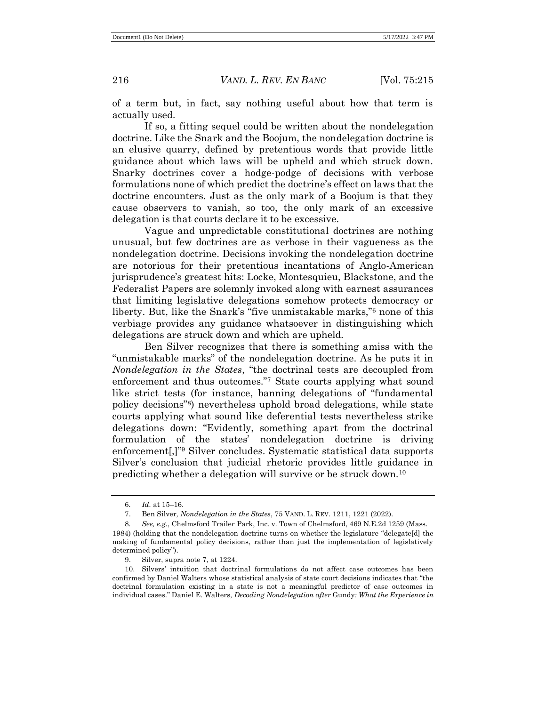of a term but, in fact, say nothing useful about how that term is actually used.

If so, a fitting sequel could be written about the nondelegation doctrine. Like the Snark and the Boojum, the nondelegation doctrine is an elusive quarry, defined by pretentious words that provide little guidance about which laws will be upheld and which struck down. Snarky doctrines cover a hodge-podge of decisions with verbose formulations none of which predict the doctrine's effect on laws that the doctrine encounters. Just as the only mark of a Boojum is that they cause observers to vanish, so too, the only mark of an excessive delegation is that courts declare it to be excessive.

Vague and unpredictable constitutional doctrines are nothing unusual, but few doctrines are as verbose in their vagueness as the nondelegation doctrine. Decisions invoking the nondelegation doctrine are notorious for their pretentious incantations of Anglo-American jurisprudence's greatest hits: Locke, Montesquieu, Blackstone, and the Federalist Papers are solemnly invoked along with earnest assurances that limiting legislative delegations somehow protects democracy or liberty. But, like the Snark's "five unmistakable marks,"<sup>6</sup> none of this verbiage provides any guidance whatsoever in distinguishing which delegations are struck down and which are upheld.

<span id="page-1-0"></span>Ben Silver recognizes that there is something amiss with the "unmistakable marks" of the nondelegation doctrine. As he puts it in *Nondelegation in the States*, "the doctrinal tests are decoupled from enforcement and thus outcomes."<sup>7</sup> State courts applying what sound like strict tests (for instance, banning delegations of "fundamental policy decisions"<sup>8</sup> ) nevertheless uphold broad delegations, while state courts applying what sound like deferential tests nevertheless strike delegations down: "Evidently, something apart from the doctrinal formulation of the states' nondelegation doctrine is driving enforcement[,]" <sup>9</sup> Silver concludes. Systematic statistical data supports Silver's conclusion that judicial rhetoric provides little guidance in predicting whether a delegation will survive or be struck down.<sup>10</sup>

<sup>6</sup>*. Id.* at 15–16.

<sup>7.</sup> Ben Silver, *Nondelegation in the States*, 75 VAND. L. REV. 1211, 1221 (2022).

<sup>8</sup>*. See, e.g.*, Chelmsford Trailer Park, Inc. v. Town of Chelmsford, 469 N.E.2d 1259 (Mass. 1984) (holding that the nondelegation doctrine turns on whether the legislature "delegate[d] the making of fundamental policy decisions, rather than just the implementation of legislatively determined policy").

<sup>9.</sup> Silver, supra note [7,](#page-1-0) at 1224.

<sup>10.</sup> Silvers' intuition that doctrinal formulations do not affect case outcomes has been confirmed by Daniel Walters whose statistical analysis of state court decisions indicates that "the doctrinal formulation existing in a state is not a meaningful predictor of case outcomes in individual cases." Daniel E. Walters, *Decoding Nondelegation after* Gundy*: What the Experience in*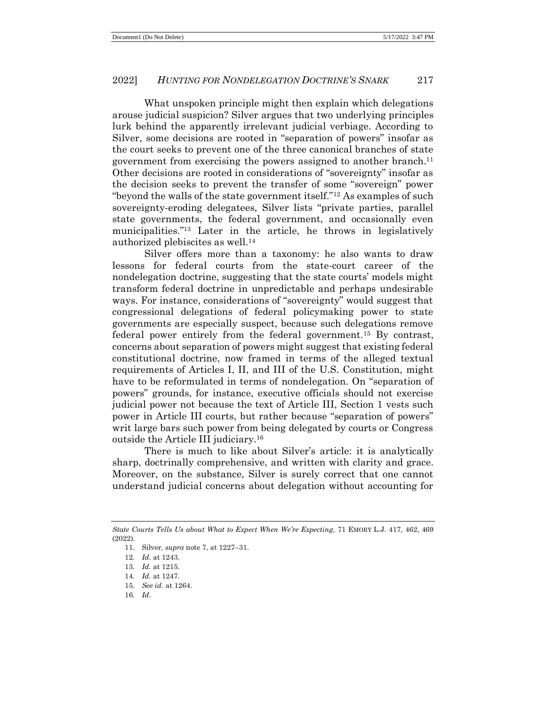### 2022] *HUNTING FOR NONDELEGATION DOCTRINE'S SNARK* 217

What unspoken principle might then explain which delegations arouse judicial suspicion? Silver argues that two underlying principles lurk behind the apparently irrelevant judicial verbiage. According to Silver, some decisions are rooted in "separation of powers" insofar as the court seeks to prevent one of the three canonical branches of state government from exercising the powers assigned to another branch.<sup>11</sup> Other decisions are rooted in considerations of "sovereignty" insofar as the decision seeks to prevent the transfer of some "sovereign" power "beyond the walls of the state government itself."<sup>12</sup> As examples of such sovereignty-eroding delegatees, Silver lists "private parties, parallel state governments, the federal government, and occasionally even municipalities."<sup>13</sup> Later in the article, he throws in legislatively authorized plebiscites as well.<sup>14</sup>

Silver offers more than a taxonomy: he also wants to draw lessons for federal courts from the state-court career of the nondelegation doctrine, suggesting that the state courts' models might transform federal doctrine in unpredictable and perhaps undesirable ways. For instance, considerations of "sovereignty" would suggest that congressional delegations of federal policymaking power to state governments are especially suspect, because such delegations remove federal power entirely from the federal government.<sup>15</sup> By contrast, concerns about separation of powers might suggest that existing federal constitutional doctrine, now framed in terms of the alleged textual requirements of Articles I, II, and III of the U.S. Constitution, might have to be reformulated in terms of nondelegation. On "separation of powers" grounds, for instance, executive officials should not exercise judicial power not because the text of Article III, Section 1 vests such power in Article III courts, but rather because "separation of powers" writ large bars such power from being delegated by courts or Congress outside the Article III judiciary.<sup>16</sup>

There is much to like about Silver's article: it is analytically sharp, doctrinally comprehensive, and written with clarity and grace. Moreover, on the substance, Silver is surely correct that one cannot understand judicial concerns about delegation without accounting for

*State Courts Tells Us about What to Expect When We're Expecting*, 71 EMORY L.J. 417, 462, 469 (2022).

<sup>11.</sup> Silver, *supra* note [7,](#page-1-0) at 1227–31.

<sup>12</sup>*. Id.* at 1243.

<sup>13</sup>*. Id.* at 1215.

<sup>14</sup>*. Id.* at 1247.

<sup>15</sup>*. See id.* at 1264.

<sup>16</sup>*. Id*.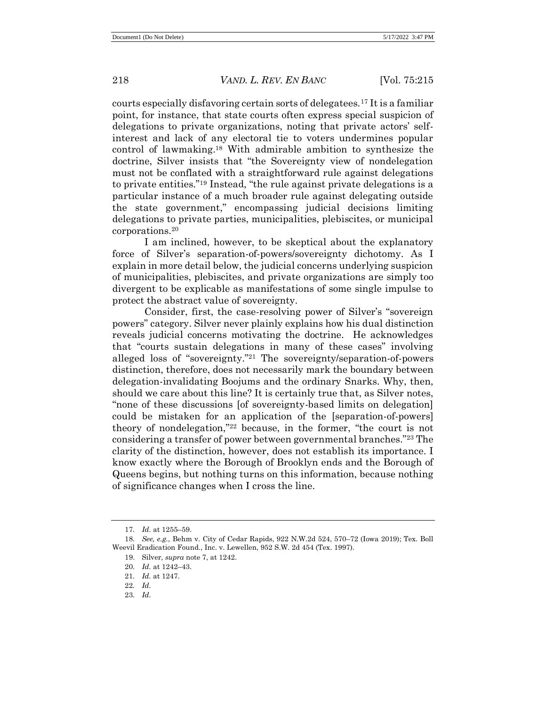courts especially disfavoring certain sorts of delegatees.<sup>17</sup> It is a familiar point, for instance, that state courts often express special suspicion of delegations to private organizations, noting that private actors' selfinterest and lack of any electoral tie to voters undermines popular control of lawmaking. <sup>18</sup> With admirable ambition to synthesize the doctrine, Silver insists that "the Sovereignty view of nondelegation must not be conflated with a straightforward rule against delegations to private entities."<sup>19</sup> Instead, "the rule against private delegations is a particular instance of a much broader rule against delegating outside the state government," encompassing judicial decisions limiting delegations to private parties, municipalities, plebiscites, or municipal corporations.<sup>20</sup>

I am inclined, however, to be skeptical about the explanatory force of Silver's separation-of-powers/sovereignty dichotomy. As I explain in more detail below, the judicial concerns underlying suspicion of municipalities, plebiscites, and private organizations are simply too divergent to be explicable as manifestations of some single impulse to protect the abstract value of sovereignty.

Consider, first, the case-resolving power of Silver's "sovereign powers" category. Silver never plainly explains how his dual distinction reveals judicial concerns motivating the doctrine. He acknowledges that "courts sustain delegations in many of these cases" involving alleged loss of "sovereignty."<sup>21</sup> The sovereignty/separation-of-powers distinction, therefore, does not necessarily mark the boundary between delegation-invalidating Boojums and the ordinary Snarks. Why, then, should we care about this line? It is certainly true that, as Silver notes, "none of these discussions [of sovereignty-based limits on delegation] could be mistaken for an application of the [separation-of-powers] theory of nondelegation,"<sup>22</sup> because, in the former, "the court is not considering a transfer of power between governmental branches."<sup>23</sup> The clarity of the distinction, however, does not establish its importance. I know exactly where the Borough of Brooklyn ends and the Borough of Queens begins, but nothing turns on this information, because nothing of significance changes when I cross the line.

<sup>17</sup>*. Id.* at 1255–59.

<sup>18</sup>*. See, e.g.*, Behm v. City of Cedar Rapids, 922 N.W.2d 524, 570–72 (Iowa 2019); Tex. Boll Weevil Eradication Found., Inc. v. Lewellen, 952 S.W. 2d 454 (Tex. 1997).

<sup>19.</sup> Silver, *supra* note [7,](#page-1-0) at 1242.

<sup>20</sup>*. Id.* at 1242–43.

<sup>21</sup>*. Id.* at 1247.

<sup>22</sup>*. Id.* 23*. Id.*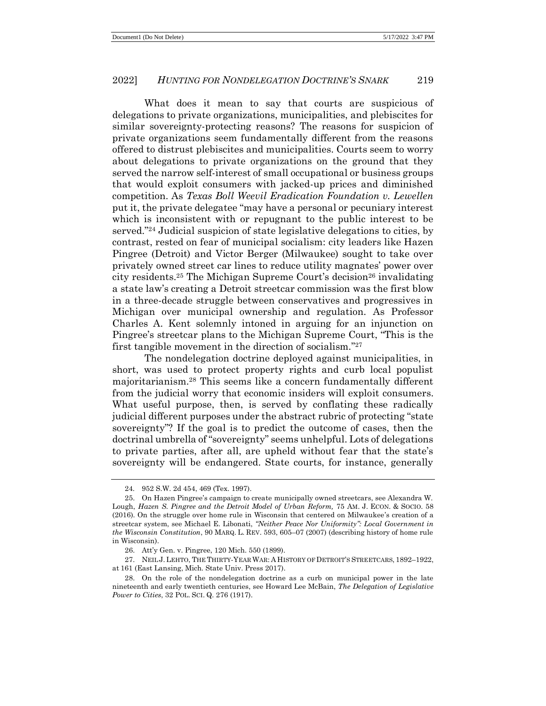## 2022] *HUNTING FOR NONDELEGATION DOCTRINE'S SNARK* 219

What does it mean to say that courts are suspicious of delegations to private organizations, municipalities, and plebiscites for similar sovereignty-protecting reasons? The reasons for suspicion of private organizations seem fundamentally different from the reasons offered to distrust plebiscites and municipalities. Courts seem to worry about delegations to private organizations on the ground that they served the narrow self-interest of small occupational or business groups that would exploit consumers with jacked-up prices and diminished competition. As *Texas Boll Weevil Eradication Foundation v. Lewellen*  put it, the private delegatee "may have a personal or pecuniary interest which is inconsistent with or repugnant to the public interest to be served."<sup>24</sup> Judicial suspicion of state legislative delegations to cities, by contrast, rested on fear of municipal socialism: city leaders like Hazen Pingree (Detroit) and Victor Berger (Milwaukee) sought to take over privately owned street car lines to reduce utility magnates' power over city residents.<sup>25</sup> The Michigan Supreme Court's decision<sup>26</sup> invalidating a state law's creating a Detroit streetcar commission was the first blow in a three-decade struggle between conservatives and progressives in Michigan over municipal ownership and regulation. As Professor Charles A. Kent solemnly intoned in arguing for an injunction on Pingree's streetcar plans to the Michigan Supreme Court, "This is the first tangible movement in the direction of socialism."<sup>27</sup>

The nondelegation doctrine deployed against municipalities, in short, was used to protect property rights and curb local populist majoritarianism.<sup>28</sup> This seems like a concern fundamentally different from the judicial worry that economic insiders will exploit consumers. What useful purpose, then, is served by conflating these radically judicial different purposes under the abstract rubric of protecting "state sovereignty"? If the goal is to predict the outcome of cases, then the doctrinal umbrella of "sovereignty" seems unhelpful. Lots of delegations to private parties, after all, are upheld without fear that the state's sovereignty will be endangered. State courts, for instance, generally

<sup>24</sup>*.* 952 S.W. 2d 454, 469 (Tex. 1997).

<sup>25.</sup> On Hazen Pingree's campaign to create municipally owned streetcars, see Alexandra W. Lough, *Hazen S. Pingree and the Detroit Model of Urban Reform,* 75 AM. J. ECON. & SOCIO. 58 (2016). On the struggle over home rule in Wisconsin that centered on Milwaukee's creation of a streetcar system, see Michael E. Libonati, *"Neither Peace Nor Uniformity": Local Government in the Wisconsin Constitution*, 90 MARQ. L. REV. 593, 605–07 (2007) (describing history of home rule in Wisconsin).

<sup>26.</sup> Att'y Gen. v. Pingree, 120 Mich. 550 (1899).

<sup>27.</sup> NEIL J.LEHTO, THE THIRTY-YEAR WAR: A HISTORY OF DETROIT'S STREETCARS, 1892–1922, at 161 (East Lansing, Mich. State Univ. Press 2017).

<sup>28.</sup> On the role of the nondelegation doctrine as a curb on municipal power in the late nineteenth and early twentieth centuries, see Howard Lee McBain, *The Delegation of Legislative Power to Cities*, 32 POL. SCI. Q. 276 (1917).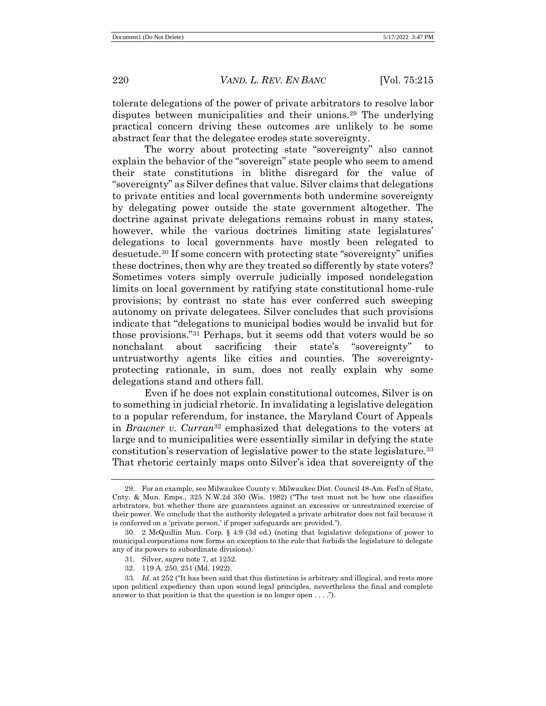tolerate delegations of the power of private arbitrators to resolve labor disputes between municipalities and their unions.<sup>29</sup> The underlying practical concern driving these outcomes are unlikely to be some abstract fear that the delegatee erodes state sovereignty.

The worry about protecting state "sovereignty" also cannot explain the behavior of the "sovereign" state people who seem to amend their state constitutions in blithe disregard for the value of "sovereignty" as Silver defines that value. Silver claims that delegations to private entities and local governments both undermine sovereignty by delegating power outside the state government altogether. The doctrine against private delegations remains robust in many states, however, while the various doctrines limiting state legislatures' delegations to local governments have mostly been relegated to desuetude.<sup>30</sup> If some concern with protecting state "sovereignty" unifies these doctrines, then why are they treated so differently by state voters? Sometimes voters simply overrule judicially imposed nondelegation limits on local government by ratifying state constitutional home-rule provisions; by contrast no state has ever conferred such sweeping autonomy on private delegatees. Silver concludes that such provisions indicate that "delegations to municipal bodies would be invalid but for those provisions." <sup>31</sup> Perhaps, but it seems odd that voters would be so nonchalant about sacrificing their state's "sovereignty" to untrustworthy agents like cities and counties. The sovereigntyprotecting rationale, in sum, does not really explain why some delegations stand and others fall.

Even if he does not explain constitutional outcomes, Silver is on to something in judicial rhetoric. In invalidating a legislative delegation to a popular referendum, for instance, the Maryland Court of Appeals in *Brawner v. Curran*<sup>32</sup> emphasized that delegations to the voters at large and to municipalities were essentially similar in defying the state constitution's reservation of legislative power to the state legislature.<sup>33</sup> That rhetoric certainly maps onto Silver's idea that sovereignty of the

<sup>29.</sup> For an example, see Milwaukee County v. Milwaukee Dist. Council 48-Am. Fed'n of State, Cnty. & Mun. Emps., 325 N.W.2d 350 (Wis. 1982) ("The test must not be how one classifies arbitrators, but whether there are guarantees against an excessive or unrestrained exercise of their power. We conclude that the authority delegated a private arbitrator does not fail because it is conferred on a 'private person,' if proper safeguards are provided.").

<sup>30.</sup> 2 McQuillin Mun. Corp. § 4:9 (3d ed.) (noting that legislative delegations of power to municipal corporations now forms an exception to the rule that forbids the legislature to delegate any of its powers to subordinate divisions).

<sup>31.</sup> Silver, *supra* note [7,](#page-1-0) at 1252.

<sup>32.</sup> 119 A. 250, 251 (Md. 1922).

<sup>33</sup>*. Id.* at 252 ("It has been said that this distinction is arbitrary and illogical, and rests more upon political expediency than upon sound legal principles, nevertheless the final and complete answer to that position is that the question is no longer open . . . .").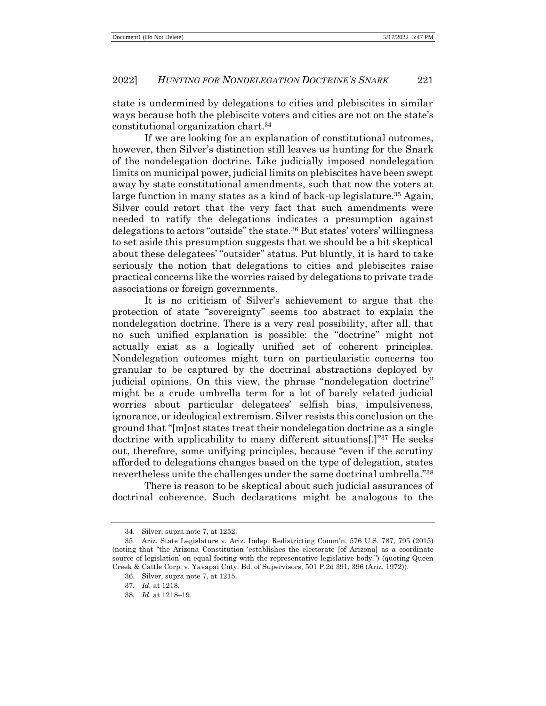### 2022] *HUNTING FOR NONDELEGATION DOCTRINE'S SNARK* 221

state is undermined by delegations to cities and plebiscites in similar ways because both the plebiscite voters and cities are not on the state's constitutional organization chart.<sup>34</sup>

If we are looking for an explanation of constitutional outcomes, however, then Silver's distinction still leaves us hunting for the Snark of the nondelegation doctrine. Like judicially imposed nondelegation limits on municipal power, judicial limits on plebiscites have been swept away by state constitutional amendments, such that now the voters at large function in many states as a kind of back-up legislature.<sup>35</sup> Again, Silver could retort that the very fact that such amendments were needed to ratify the delegations indicates a presumption against delegations to actors "outside" the state.<sup>36</sup> But states' voters' willingness to set aside this presumption suggests that we should be a bit skeptical about these delegatees' "outsider" status. Put bluntly, it is hard to take seriously the notion that delegations to cities and plebiscites raise practical concerns like the worries raised by delegations to private trade associations or foreign governments.

It is no criticism of Silver's achievement to argue that the protection of state "sovereignty" seems too abstract to explain the nondelegation doctrine. There is a very real possibility, after all, that no such unified explanation is possible: the "doctrine" might not actually exist as a logically unified set of coherent principles. Nondelegation outcomes might turn on particularistic concerns too granular to be captured by the doctrinal abstractions deployed by judicial opinions. On this view, the phrase "nondelegation doctrine" might be a crude umbrella term for a lot of barely related judicial worries about particular delegatees' selfish bias, impulsiveness, ignorance, or ideological extremism. Silver resists this conclusion on the ground that "[m]ost states treat their nondelegation doctrine as a single doctrine with applicability to many different situations[.]" <sup>37</sup> He seeks out, therefore, some unifying principles, because "even if the scrutiny afforded to delegations changes based on the type of delegation, states nevertheless unite the challenges under the same doctrinal umbrella."<sup>38</sup>

There is reason to be skeptical about such judicial assurances of doctrinal coherence. Such declarations might be analogous to the

<sup>34.</sup> Silver, supra note [7,](#page-1-0) at 1252.

<sup>35.</sup> Ariz. State Legislature v. Ariz. Indep. Redistricting Comm'n, 576 U.S. 787, 795 (2015) (noting that "the Arizona Constitution 'establishes the electorate [of Arizona] as a coordinate source of legislation' on equal footing with the representative legislative body.") (quoting Queen Creek & Cattle Corp. v. Yavapai Cnty. Bd. of Supervisors, 501 P.2d 391, 396 (Ariz. 1972)).

<sup>36.</sup> Silver, supra note [7,](#page-1-0) at 1215.

<sup>37</sup>*. Id.* at 1218.

<sup>38</sup>*. Id.* at 1218–19.